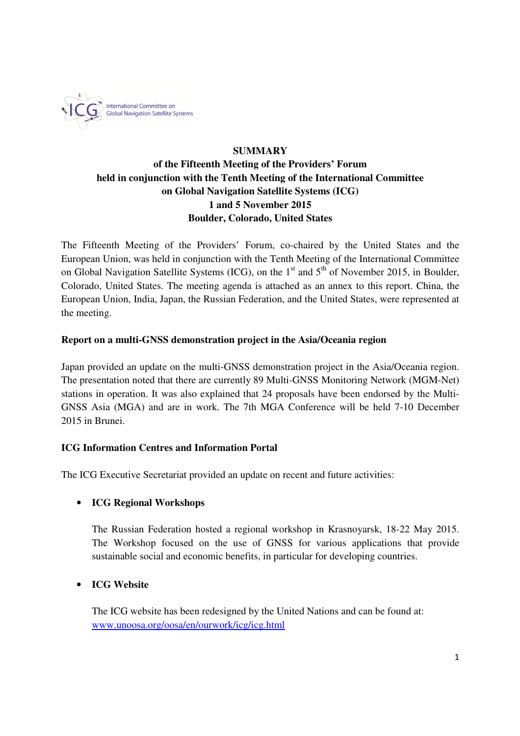

# **SUMMARY of the Fifteenth Meeting of the Providers' Forum held in conjunction with the Tenth Meeting of the International Committee on Global Navigation Satellite Systems (ICG) 1 and 5 November 2015 Boulder, Colorado, United States**

The Fifteenth Meeting of the Providers' Forum, co-chaired by the United States and the European Union, was held in conjunction with the Tenth Meeting of the International Committee on Global Navigation Satellite Systems (ICG), on the  $1<sup>st</sup>$  and  $5<sup>th</sup>$  of November 2015, in Boulder. Colorado, United States. The meeting agenda is attached as an annex to this report. China, the European Union, India, Japan, the Russian Federation, and the United States, were represented at the meeting.

## **Report on a multi-GNSS demonstration project in the Asia/Oceania region**

Japan provided an update on the multi-GNSS demonstration project in the Asia/Oceania region. The presentation noted that there are currently 89 Multi-GNSS Monitoring Network (MGM-Net) stations in operation. It was also explained that 24 proposals have been endorsed by the Multi-GNSS Asia (MGA) and are in work. The 7th MGA Conference will be held 7-10 December 2015 in Brunei.

## **ICG Information Centres and Information Portal**

The ICG Executive Secretariat provided an update on recent and future activities:

## • **ICG Regional Workshops**

The Russian Federation hosted a regional workshop in Krasnoyarsk, 18-22 May 2015. The Workshop focused on the use of GNSS for various applications that provide sustainable social and economic benefits, in particular for developing countries.

### • **ICG Website**

The ICG website has been redesigned by the United Nations and can be found at: www.unoosa.org/oosa/en/ourwork/icg/icg.html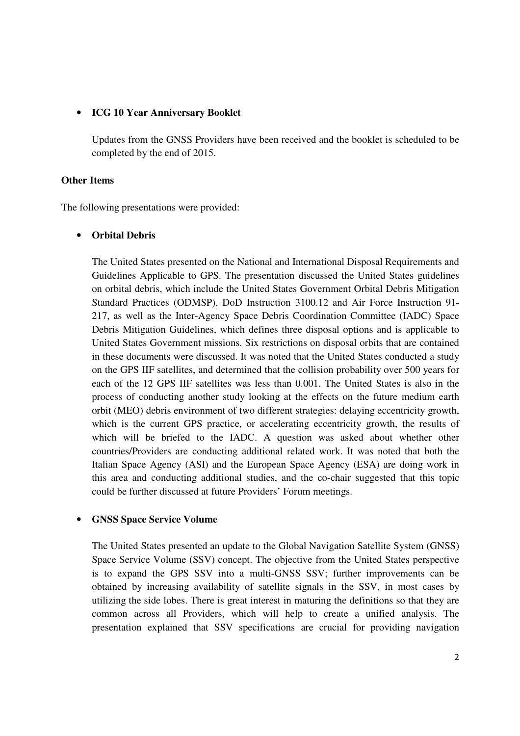### • **ICG 10 Year Anniversary Booklet**

Updates from the GNSS Providers have been received and the booklet is scheduled to be completed by the end of 2015.

## **Other Items**

The following presentations were provided:

### • **Orbital Debris**

The United States presented on the National and International Disposal Requirements and Guidelines Applicable to GPS. The presentation discussed the United States guidelines on orbital debris, which include the United States Government Orbital Debris Mitigation Standard Practices (ODMSP), DoD Instruction 3100.12 and Air Force Instruction 91- 217, as well as the Inter-Agency Space Debris Coordination Committee (IADC) Space Debris Mitigation Guidelines, which defines three disposal options and is applicable to United States Government missions. Six restrictions on disposal orbits that are contained in these documents were discussed. It was noted that the United States conducted a study on the GPS IIF satellites, and determined that the collision probability over 500 years for each of the 12 GPS IIF satellites was less than 0.001. The United States is also in the process of conducting another study looking at the effects on the future medium earth orbit (MEO) debris environment of two different strategies: delaying eccentricity growth, which is the current GPS practice, or accelerating eccentricity growth, the results of which will be briefed to the IADC. A question was asked about whether other countries/Providers are conducting additional related work. It was noted that both the Italian Space Agency (ASI) and the European Space Agency (ESA) are doing work in this area and conducting additional studies, and the co-chair suggested that this topic could be further discussed at future Providers' Forum meetings.

### • **GNSS Space Service Volume**

The United States presented an update to the Global Navigation Satellite System (GNSS) Space Service Volume (SSV) concept. The objective from the United States perspective is to expand the GPS SSV into a multi-GNSS SSV; further improvements can be obtained by increasing availability of satellite signals in the SSV, in most cases by utilizing the side lobes. There is great interest in maturing the definitions so that they are common across all Providers, which will help to create a unified analysis. The presentation explained that SSV specifications are crucial for providing navigation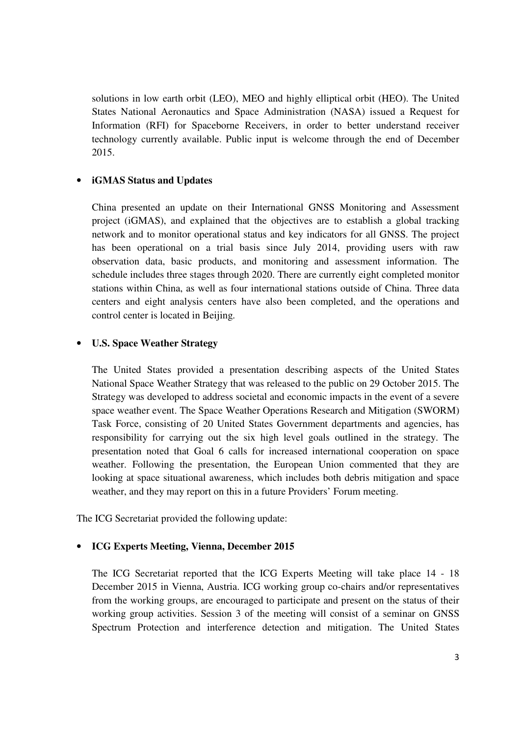solutions in low earth orbit (LEO), MEO and highly elliptical orbit (HEO). The United States National Aeronautics and Space Administration (NASA) issued a Request for Information (RFI) for Spaceborne Receivers, in order to better understand receiver technology currently available. Public input is welcome through the end of December 2015.

### • **iGMAS Status and Updates**

China presented an update on their International GNSS Monitoring and Assessment project (iGMAS), and explained that the objectives are to establish a global tracking network and to monitor operational status and key indicators for all GNSS. The project has been operational on a trial basis since July 2014, providing users with raw observation data, basic products, and monitoring and assessment information. The schedule includes three stages through 2020. There are currently eight completed monitor stations within China, as well as four international stations outside of China. Three data centers and eight analysis centers have also been completed, and the operations and control center is located in Beijing.

## • **U.S. Space Weather Strategy**

The United States provided a presentation describing aspects of the United States National Space Weather Strategy that was released to the public on 29 October 2015. The Strategy was developed to address societal and economic impacts in the event of a severe space weather event. The Space Weather Operations Research and Mitigation (SWORM) Task Force, consisting of 20 United States Government departments and agencies, has responsibility for carrying out the six high level goals outlined in the strategy. The presentation noted that Goal 6 calls for increased international cooperation on space weather. Following the presentation, the European Union commented that they are looking at space situational awareness, which includes both debris mitigation and space weather, and they may report on this in a future Providers' Forum meeting.

The ICG Secretariat provided the following update:

## • **ICG Experts Meeting, Vienna, December 2015**

The ICG Secretariat reported that the ICG Experts Meeting will take place 14 - 18 December 2015 in Vienna, Austria. ICG working group co-chairs and/or representatives from the working groups, are encouraged to participate and present on the status of their working group activities. Session 3 of the meeting will consist of a seminar on GNSS Spectrum Protection and interference detection and mitigation. The United States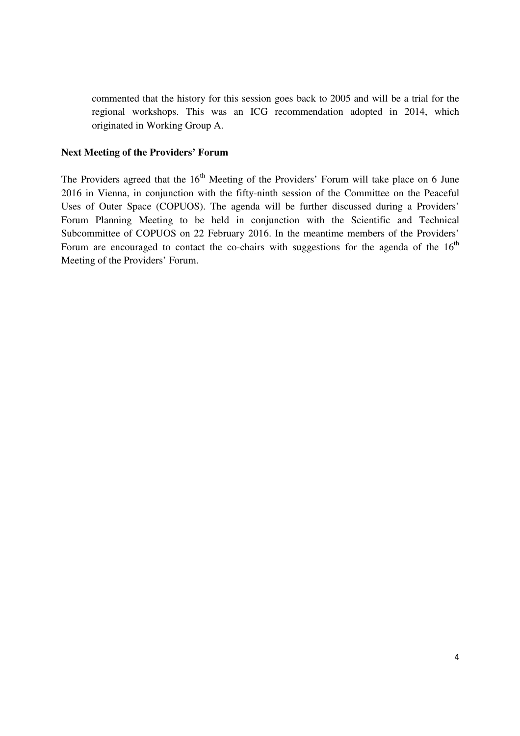commented that the history for this session goes back to 2005 and will be a trial for the regional workshops. This was an ICG recommendation adopted in 2014, which originated in Working Group A.

### **Next Meeting of the Providers' Forum**

The Providers agreed that the  $16<sup>th</sup>$  Meeting of the Providers' Forum will take place on 6 June 2016 in Vienna, in conjunction with the fifty-ninth session of the Committee on the Peaceful Uses of Outer Space (COPUOS). The agenda will be further discussed during a Providers' Forum Planning Meeting to be held in conjunction with the Scientific and Technical Subcommittee of COPUOS on 22 February 2016. In the meantime members of the Providers' Forum are encouraged to contact the co-chairs with suggestions for the agenda of the  $16<sup>th</sup>$ Meeting of the Providers' Forum.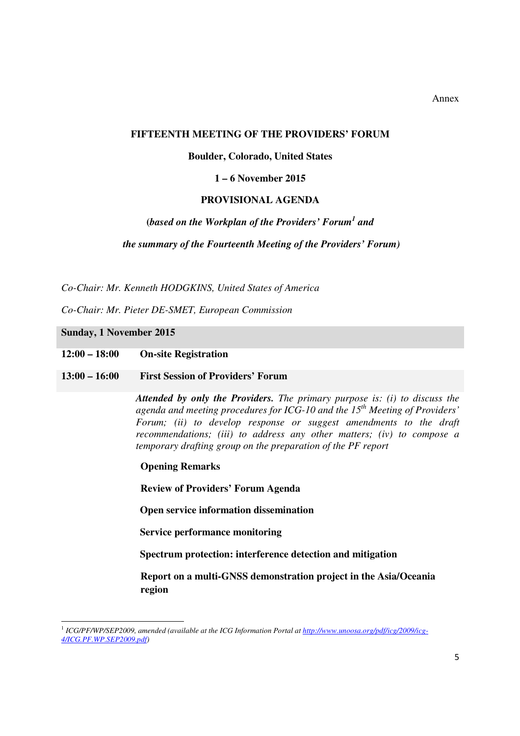Annex

### **FIFTEENTH MEETING OF THE PROVIDERS' FORUM**

#### **Boulder, Colorado, United States**

### **1 – 6 November 2015**

### **PROVISIONAL AGENDA**

## **(***based on the Workplan of the Providers' Forum<sup>1</sup> and*

 *the summary of the Fourteenth Meeting of the Providers' Forum)*

*Co-Chair: Mr. Kenneth HODGKINS, United States of America*

*Co-Chair: Mr. Pieter DE-SMET, European Commission* 

**Sunday, 1 November 2015** 

 $\overline{a}$ 

### **12:00 – 18:00 On-site Registration**

#### **13:00 – 16:00 First Session of Providers' Forum**

*Attended by only the Providers. The primary purpose is: (i) to discuss the agenda and meeting procedures for ICG-10 and the 15th Meeting of Providers' Forum; (ii) to develop response or suggest amendments to the draft recommendations; (iii) to address any other matters; (iv) to compose a temporary drafting group on the preparation of the PF report* 

 **Opening Remarks** 

**Review of Providers' Forum Agenda** 

**Open service information dissemination** 

**Service performance monitoring** 

**Spectrum protection: interference detection and mitigation** 

**Report on a multi-GNSS demonstration project in the Asia/Oceania region** 

<sup>&</sup>lt;sup>1</sup> ICG/PF/WP/SEP2009, amended (available at the ICG Information Portal at http://www.unoosa.org/pdf/icg/2009/icg-*4/ICG.PF.WP.SEP2009.pdf)*